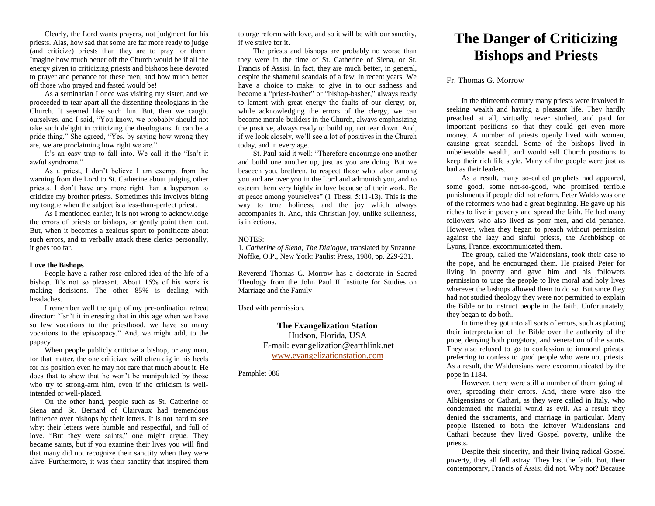Clearly, the Lord wants prayers, not judgment for his priests. Alas, how sad that some are far more ready to judge (and criticize) priests than they are to pray for them! Imagine how much better off the Church would be if all the energy given to criticizing priests and bishops here devoted to prayer and penance for these men; and how much better off those who prayed and fasted would be!

As a seminarian I once was visiting my sister, and we proceeded to tear apart all the dissenting theologians in the Church. It seemed like such fun. But, then we caught ourselves, and I said, "You know, we probably should not take such delight in criticizing the theologians. It can be a pride thing." She agreed, "Yes, by saying how wrong they are, we are proclaiming how right we are."

It's an easy trap to fall into. We call it the "Isn't it awful syndrome."

As a priest, I don't believe I am exempt from the warning from the Lord to St. Catherine about judging other priests. I don't have any more right than a layperson to criticize my brother priests. Sometimes this involves biting my tongue when the subject is a less-than-perfect priest.

As I mentioned earlier, it is not wrong to acknowledge the errors of priests or bishops, or gently point them out. But, when it becomes a zealous sport to pontificate about such errors, and to verbally attack these clerics personally, it goes too far.

## **Love the Bishops**

People have a rather rose-colored idea of the life of a bishop. It's not so pleasant. About 15% of his work is making decisions. The other 85% is dealing with headaches.

I remember well the quip of my pre-ordination retreat director: "Isn't it interesting that in this age when we have so few vocations to the priesthood, we have so many vocations to the episcopacy." And, we might add, to the papacy!

When people publicly criticize a bishop, or any man, for that matter, the one criticized will often dig in his heels for his position even he may not care that much about it. He does that to show that he won't be manipulated by those who try to strong-arm him, even if the criticism is wellintended or well-placed.

On the other hand, people such as St. Catherine of Siena and St. Bernard of Clairvaux had tremendous influence over bishops by their letters. It is not hard to see why: their letters were humble and respectful, and full of love. "But they were saints," one might argue. They became saints, but if you examine their lives you will find that many did not recognize their sanctity when they were alive. Furthermore, it was their sanctity that inspired them to urge reform with love, and so it will be with our sanctity, if we strive for it.

The priests and bishops are probably no worse than they were in the time of St. Catherine of Siena, or St. Francis of Assisi. In fact, they are much better, in general, despite the shameful scandals of a few, in recent years. We have a choice to make: to give in to our sadness and become a "priest-basher" or "bishop-basher," always ready to lament with great energy the faults of our clergy; or, while acknowledging the errors of the clergy, we can become morale-builders in the Church, always emphasizing the positive, always ready to build up, not tear down. And, if we look closely, we'll see a lot of positives in the Church today, and in every age.

St. Paul said it well: "Therefore encourage one another and build one another up, just as you are doing. But we beseech you, brethren, to respect those who labor among you and are over you in the Lord and admonish you, and to esteem them very highly in love because of their work. Be at peace among yourselves" (1 Thess. 5:11-13). This is the way to true holiness, and the joy which always accompanies it. And, this Christian joy, unlike sullenness, is infectious.

### NOTES:

1*. Catherine of Siena; The Dialogue,* translated by Suzanne Noffke, O.P., New York: Paulist Press, 1980, pp*.* 229-231.

Reverend Thomas G. Morrow has a doctorate in Sacred Theology from the John Paul II Institute for Studies on Marriage and the Family

Used with permission.

**The Evangelization Station** Hudson, Florida, USA E-mail: evangelization@earthlink.net [www.evangelizationstation.com](http://www.pjpiisoe.org/)

Pamphlet 086

# **The Danger of Criticizing Bishops and Priests**

# Fr. Thomas G. Morrow

In the thirteenth century many priests were involved in seeking wealth and having a pleasant life. They hardly preached at all, virtually never studied, and paid for important positions so that they could get even more money. A number of priests openly lived with women, causing great scandal. Some of the bishops lived in unbelievable wealth, and would sell Church positions to keep their rich life style. Many of the people were just as bad as their leaders.

As a result, many so-called prophets had appeared, some good, some not-so-good, who promised terrible punishments if people did not reform. Peter Waldo was one of the reformers who had a great beginning. He gave up his riches to live in poverty and spread the faith. He had many followers who also lived as poor men, and did penance. However, when they began to preach without permission against the lazy and sinful priests, the Archbishop of Lyons, France, excommunicated them.

The group, called the Waldensians, took their case to the pope, and he encouraged them. He praised Peter for living in poverty and gave him and his followers permission to urge the people to live moral and holy lives wherever the bishops allowed them to do so. But since they had not studied theology they were not permitted to explain the Bible or to instruct people in the faith. Unfortunately, they began to do both.

In time they got into all sorts of errors, such as placing their interpretation of the Bible over the authority of the pope, denying both purgatory, and veneration of the saints. They also refused to go to confession to immoral priests, preferring to confess to good people who were not priests. As a result, the Waldensians were excommunicated by the pope in 1184.

However, there were still a number of them going all over, spreading their errors. And, there were also the Albigensians or Cathari, as they were called in Italy, who condemned the material world as evil. As a result they denied the sacraments, and marriage in particular. Many people listened to both the leftover Waldensians and Cathari because they lived Gospel poverty, unlike the priests.

Despite their sincerity, and their living radical Gospel poverty, they all fell astray. They lost the faith. But, their contemporary, Francis of Assisi did not. Why not? Because